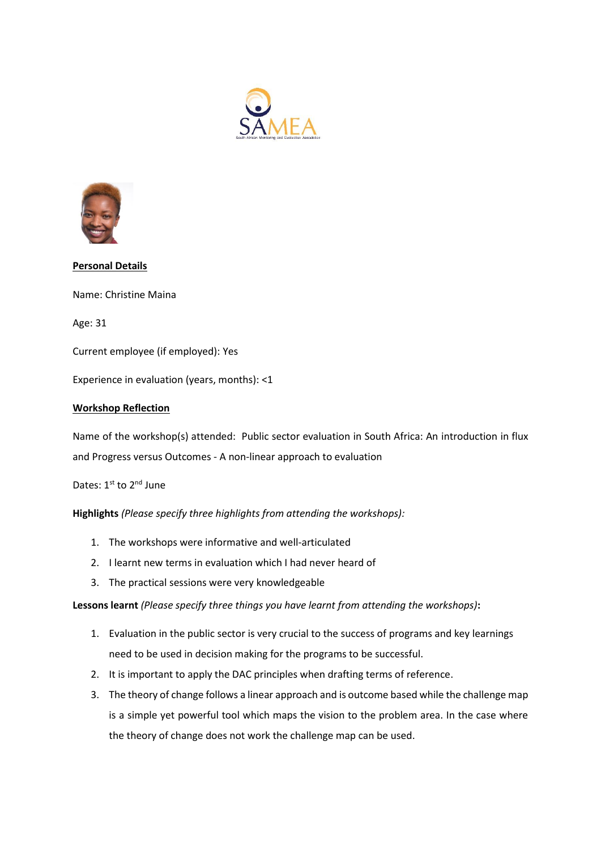



## **Personal Details**

Name: Christine Maina

Age: 31

Current employee (if employed): Yes

Experience in evaluation (years, months): <1

## **Workshop Reflection**

Name of the workshop(s) attended: Public sector evaluation in South Africa: An introduction in flux and Progress versus Outcomes - A non-linear approach to evaluation

Dates: 1st to 2<sup>nd</sup> June

**Highlights** *(Please specify three highlights from attending the workshops):*

- 1. The workshops were informative and well-articulated
- 2. I learnt new terms in evaluation which I had never heard of
- 3. The practical sessions were very knowledgeable

**Lessons learnt** *(Please specify three things you have learnt from attending the workshops)***:** 

- 1. Evaluation in the public sector is very crucial to the success of programs and key learnings need to be used in decision making for the programs to be successful.
- 2. It is important to apply the DAC principles when drafting terms of reference.
- 3. The theory of change follows a linear approach and is outcome based while the challenge map is a simple yet powerful tool which maps the vision to the problem area. In the case where the theory of change does not work the challenge map can be used.